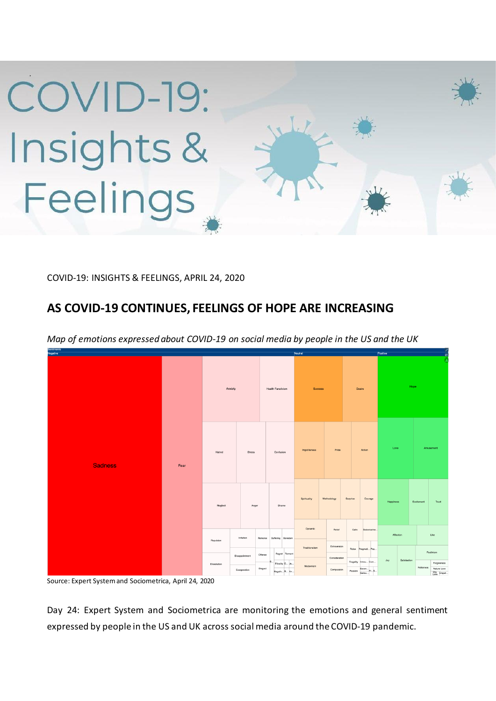

COVID-19: INSIGHTS & FEELINGS, APRIL 24, 2020

## **AS COVID-19 CONTINUES, FEELINGS OF HOPE ARE INCREASING**



*Map of emotions expressed about COVID-19 on social media by people in the US and the UK* 

Source: Expert System and Sociometrica, April 24, 2020

Day 24: Expert System and Sociometrica are monitoring the emotions and general sentiment expressed by people in the US and UK across social media around the COVID-19 pandemic.